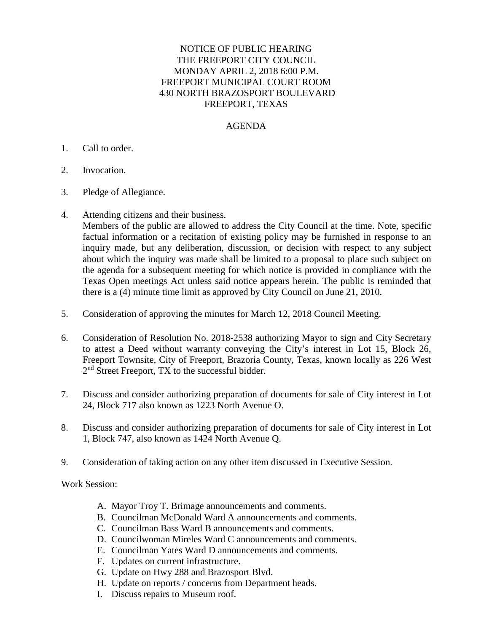## NOTICE OF PUBLIC HEARING THE FREEPORT CITY COUNCIL MONDAY APRIL 2, 2018 6:00 P.M. FREEPORT MUNICIPAL COURT ROOM 430 NORTH BRAZOSPORT BOULEVARD FREEPORT, TEXAS

## AGENDA

## 1. Call to order.

- 2. Invocation.
- 3. Pledge of Allegiance.
- 4. Attending citizens and their business.

Members of the public are allowed to address the City Council at the time. Note, specific factual information or a recitation of existing policy may be furnished in response to an inquiry made, but any deliberation, discussion, or decision with respect to any subject about which the inquiry was made shall be limited to a proposal to place such subject on the agenda for a subsequent meeting for which notice is provided in compliance with the Texas Open meetings Act unless said notice appears herein. The public is reminded that there is a (4) minute time limit as approved by City Council on June 21, 2010.

- 5. Consideration of approving the minutes for March 12, 2018 Council Meeting.
- 6. Consideration of Resolution No. 2018-2538 authorizing Mayor to sign and City Secretary to attest a Deed without warranty conveying the City's interest in Lot 15, Block 26, Freeport Townsite, City of Freeport, Brazoria County, Texas, known locally as 226 West 2<sup>nd</sup> Street Freeport, TX to the successful bidder.
- 7. Discuss and consider authorizing preparation of documents for sale of City interest in Lot 24, Block 717 also known as 1223 North Avenue O.
- 8. Discuss and consider authorizing preparation of documents for sale of City interest in Lot 1, Block 747, also known as 1424 North Avenue Q.
- 9. Consideration of taking action on any other item discussed in Executive Session.

Work Session:

- A. Mayor Troy T. Brimage announcements and comments.
- B. Councilman McDonald Ward A announcements and comments.
- C. Councilman Bass Ward B announcements and comments.
- D. Councilwoman Mireles Ward C announcements and comments.
- E. Councilman Yates Ward D announcements and comments.
- F. Updates on current infrastructure.
- G. Update on Hwy 288 and Brazosport Blvd.
- H. Update on reports / concerns from Department heads.
- I. Discuss repairs to Museum roof.